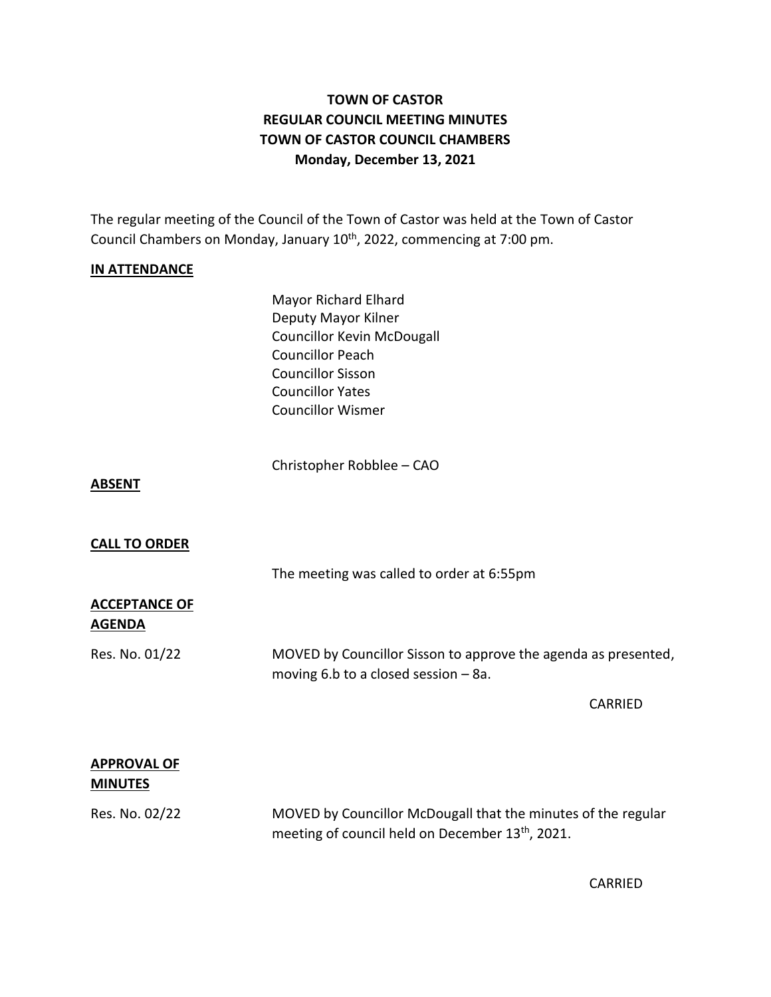# **TOWN OF CASTOR REGULAR COUNCIL MEETING MINUTES TOWN OF CASTOR COUNCIL CHAMBERS Monday, December 13, 2021**

The regular meeting of the Council of the Town of Castor was held at the Town of Castor Council Chambers on Monday, January 10<sup>th</sup>, 2022, commencing at 7:00 pm.

#### **IN ATTENDANCE**

Mayor Richard Elhard Deputy Mayor Kilner Councillor Kevin McDougall Councillor Peach Councillor Sisson Councillor Yates Councillor Wismer

Christopher Robblee – CAO

#### **ABSENT**

### **CALL TO ORDER**

The meeting was called to order at 6:55pm

### **ACCEPTANCE OF AGENDA**

Res. No. 01/22 MOVED by Councillor Sisson to approve the agenda as presented, moving 6.b to a closed session – 8a.

CARRIED

# **APPROVAL OF MINUTES**

Res. No. 02/22 MOVED by Councillor McDougall that the minutes of the regular meeting of council held on December 13<sup>th</sup>, 2021.

CARRIED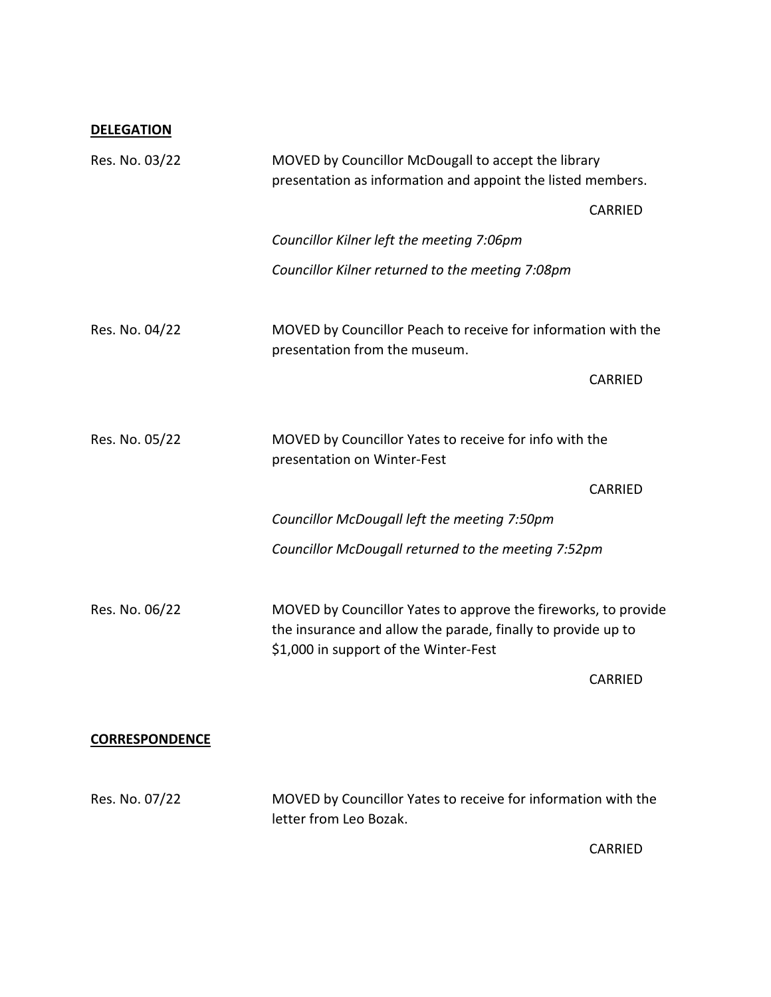# **DELEGATION**

| Res. No. 03/22                                                                                          | MOVED by Councillor McDougall to accept the library<br>presentation as information and appoint the listed members.                                                      |                                                               |  |
|---------------------------------------------------------------------------------------------------------|-------------------------------------------------------------------------------------------------------------------------------------------------------------------------|---------------------------------------------------------------|--|
|                                                                                                         |                                                                                                                                                                         | CARRIED                                                       |  |
|                                                                                                         | Councillor Kilner left the meeting 7:06pm                                                                                                                               |                                                               |  |
|                                                                                                         | Councillor Kilner returned to the meeting 7:08pm                                                                                                                        |                                                               |  |
| Res. No. 04/22                                                                                          | presentation from the museum.                                                                                                                                           | MOVED by Councillor Peach to receive for information with the |  |
|                                                                                                         |                                                                                                                                                                         | <b>CARRIED</b>                                                |  |
|                                                                                                         |                                                                                                                                                                         |                                                               |  |
| Res. No. 05/22<br>MOVED by Councillor Yates to receive for info with the<br>presentation on Winter-Fest |                                                                                                                                                                         |                                                               |  |
|                                                                                                         |                                                                                                                                                                         | <b>CARRIED</b>                                                |  |
|                                                                                                         | Councillor McDougall left the meeting 7:50pm                                                                                                                            |                                                               |  |
|                                                                                                         | Councillor McDougall returned to the meeting 7:52pm                                                                                                                     |                                                               |  |
|                                                                                                         |                                                                                                                                                                         |                                                               |  |
| Res. No. 06/22                                                                                          | MOVED by Councillor Yates to approve the fireworks, to provide<br>the insurance and allow the parade, finally to provide up to<br>\$1,000 in support of the Winter-Fest |                                                               |  |
|                                                                                                         |                                                                                                                                                                         | <b>CARRIED</b>                                                |  |
|                                                                                                         |                                                                                                                                                                         |                                                               |  |
| <b>CORRESPONDENCE</b>                                                                                   |                                                                                                                                                                         |                                                               |  |
| Res. No. 07/22                                                                                          | MOVED by Councillor Yates to receive for information with the<br>letter from Leo Bozak.                                                                                 |                                                               |  |

CARRIED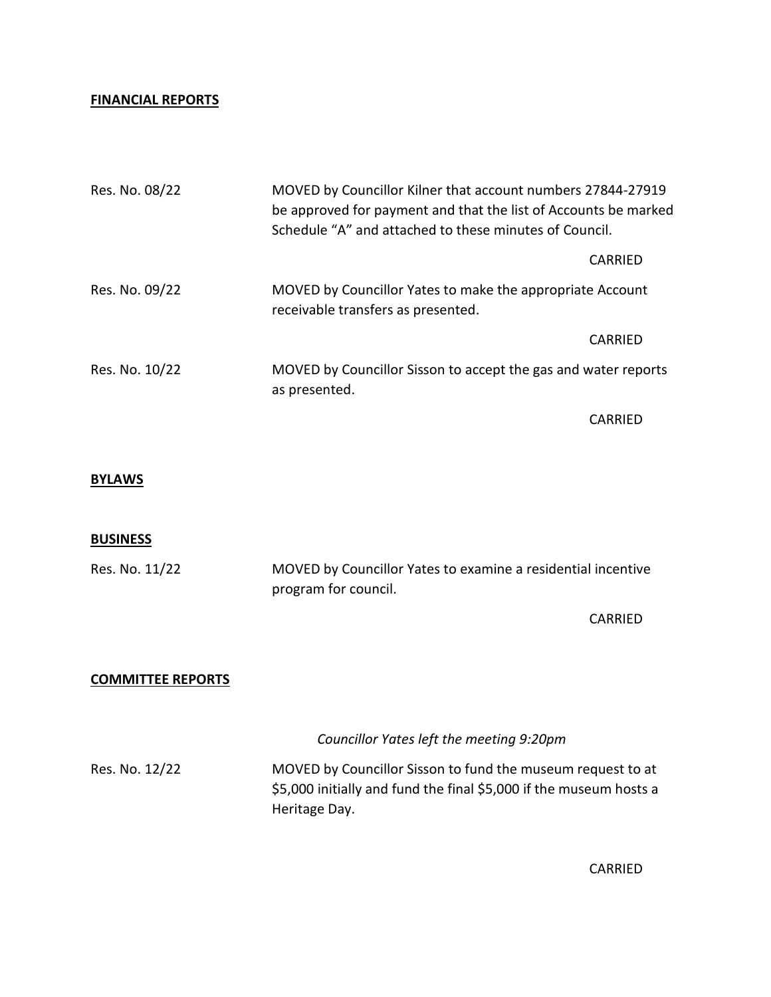### **FINANCIAL REPORTS**

| Res. No. 08/22 |                                                                                 | MOVED by Councillor Kilner that account numbers 27844-27919<br>be approved for payment and that the list of Accounts be marked<br>Schedule "A" and attached to these minutes of Council. |  |
|----------------|---------------------------------------------------------------------------------|------------------------------------------------------------------------------------------------------------------------------------------------------------------------------------------|--|
|                |                                                                                 | CARRIED                                                                                                                                                                                  |  |
| Res. No. 09/22 | receivable transfers as presented.                                              | MOVED by Councillor Yates to make the appropriate Account                                                                                                                                |  |
|                |                                                                                 | <b>CARRIED</b>                                                                                                                                                                           |  |
| Res. No. 10/22 | MOVED by Councillor Sisson to accept the gas and water reports<br>as presented. |                                                                                                                                                                                          |  |
|                |                                                                                 | CARRIED                                                                                                                                                                                  |  |

# **BYLAWS**

#### **BUSINESS**

| Res. No. 11/22 | MOVED by Councillor Yates to examine a residential incentive |
|----------------|--------------------------------------------------------------|
|                | program for council.                                         |

CARRIED

### **COMMITTEE REPORTS**

*Councillor Yates left the meeting 9:20pm* Res. No. 12/22 MOVED by Councillor Sisson to fund the museum request to at \$5,000 initially and fund the final \$5,000 if the museum hosts a Heritage Day.

CARRIED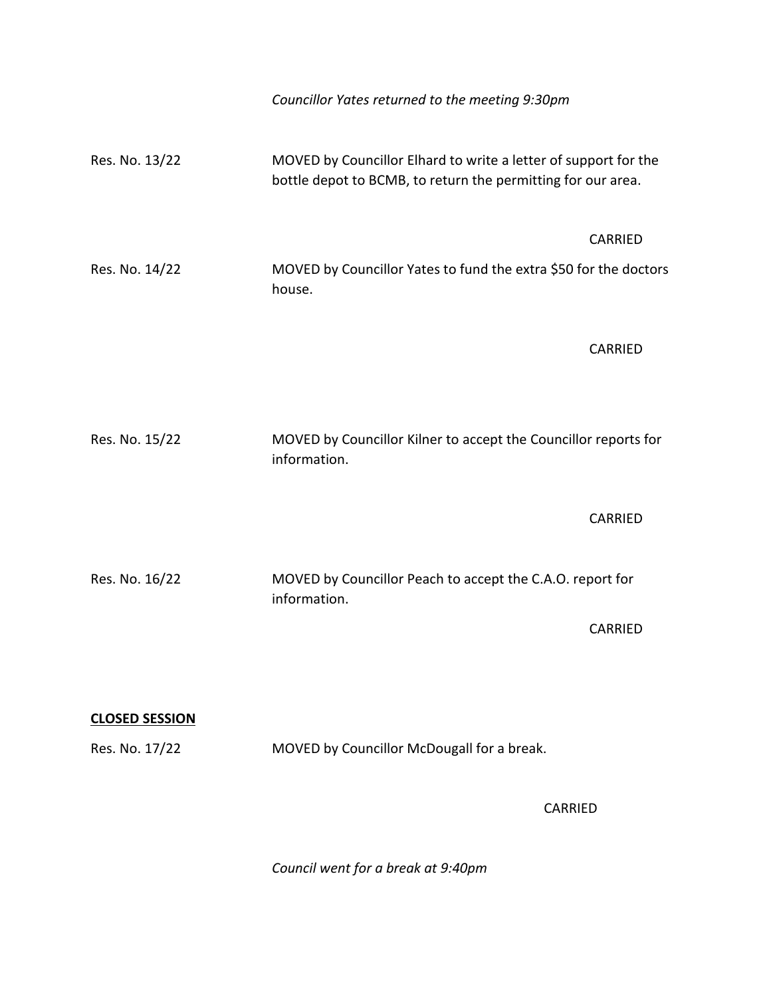|                       | Councillor Yates returned to the meeting 9:30pm                                                                                 |                |
|-----------------------|---------------------------------------------------------------------------------------------------------------------------------|----------------|
| Res. No. 13/22        | MOVED by Councillor Elhard to write a letter of support for the<br>bottle depot to BCMB, to return the permitting for our area. |                |
|                       |                                                                                                                                 | <b>CARRIED</b> |
| Res. No. 14/22        | MOVED by Councillor Yates to fund the extra \$50 for the doctors<br>house.                                                      |                |
|                       |                                                                                                                                 | <b>CARRIED</b> |
| Res. No. 15/22        | MOVED by Councillor Kilner to accept the Councillor reports for<br>information.                                                 |                |
|                       |                                                                                                                                 | <b>CARRIED</b> |
| Res. No. 16/22        | MOVED by Councillor Peach to accept the C.A.O. report for<br>information.                                                       |                |
|                       |                                                                                                                                 | <b>CARRIED</b> |
| <b>CLOSED SESSION</b> |                                                                                                                                 |                |
| Res. No. 17/22        | MOVED by Councillor McDougall for a break.                                                                                      |                |
|                       | CARRIED                                                                                                                         |                |

*Council went for a break at 9:40pm*